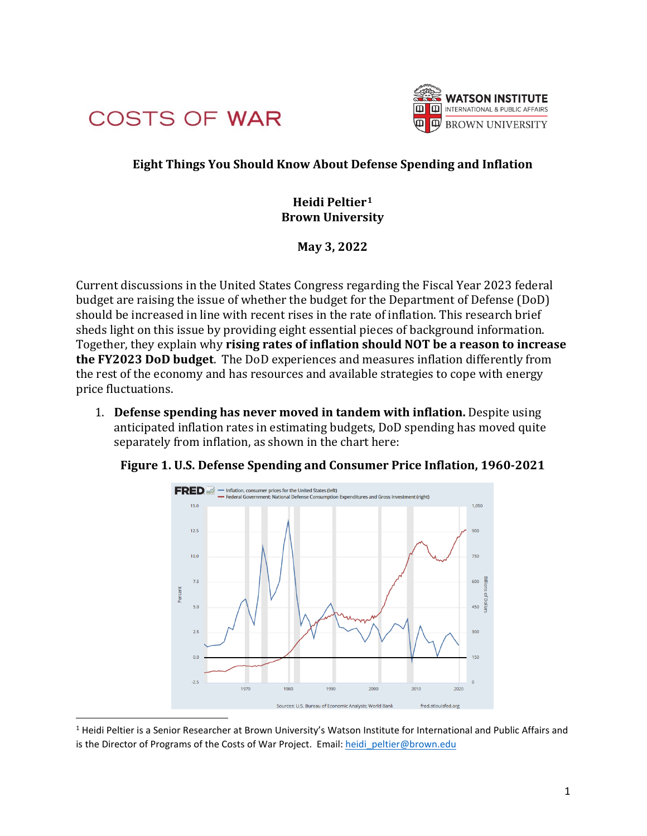



## **Eight Things You Should Know About Defense Spending and Inflation**

## **Heidi Peltier1 Brown University**

**May 3, 2022**

Current discussions in the United States Congress regarding the Fiscal Year 2023 federal budget are raising the issue of whether the budget for the Department of Defense (DoD) should be increased in line with recent rises in the rate of inflation. This research brief sheds light on this issue by providing eight essential pieces of background information. Together, they explain why **rising rates of inflation should NOT be a reason to increase the FY2023 DoD budget**. The DoD experiences and measures inflation differently from the rest of the economy and has resources and available strategies to cope with energy price fluctuations.

1. **Defense spending has never moved in tandem with inflation.** Despite using anticipated inflation rates in estimating budgets, DoD spending has moved quite separately from inflation, as shown in the chart here:

**Figure 1. U.S. Defense Spending and Consumer Price Inflation, 1960-2021**



<sup>&</sup>lt;sup>1</sup> Heidi Peltier is a Senior Researcher at Brown University's Watson Institute for International and Public Affairs and is the Director of Programs of the Costs of War Project. Email: heidi peltier@brown.edu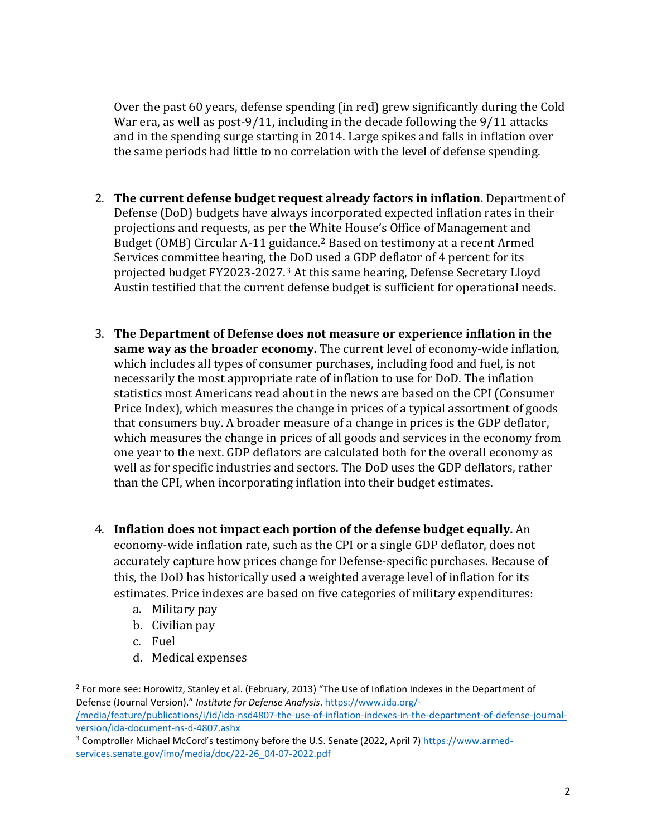Over the past 60 years, defense spending (in red) grew significantly during the Cold War era, as well as post-9/11, including in the decade following the 9/11 attacks and in the spending surge starting in 2014. Large spikes and falls in inflation over the same periods had little to no correlation with the level of defense spending.

- 2. **The current defense budget request already factors in inflation.** Department of Defense (DoD) budgets have always incorporated expected inflation rates in their projections and requests, as per the White House's Office of Management and Budget (OMB) Circular A-11 guidance.<sup>2</sup> Based on testimony at a recent Armed Services committee hearing, the DoD used a GDP deflator of 4 percent for its projected budget FY2023-2027.3 At this same hearing, Defense Secretary Lloyd Austin testified that the current defense budget is sufficient for operational needs.
- 3. **The Department of Defense does not measure or experience inflation in the same way as the broader economy.** The current level of economy-wide inflation, which includes all types of consumer purchases, including food and fuel, is not necessarily the most appropriate rate of inflation to use for DoD. The inflation statistics most Americans read about in the news are based on the CPI (Consumer Price Index), which measures the change in prices of a typical assortment of goods that consumers buy. A broader measure of a change in prices is the GDP deflator, which measures the change in prices of all goods and services in the economy from one year to the next. GDP deflators are calculated both for the overall economy as well as for specific industries and sectors. The DoD uses the GDP deflators, rather than the CPI, when incorporating inflation into their budget estimates.
- 4. **Inflation does not impact each portion of the defense budget equally.** An economy-wide inflation rate, such as the CPI or a single GDP deflator, does not accurately capture how prices change for Defense-specific purchases. Because of this, the DoD has historically used a weighted average level of inflation for its estimates. Price indexes are based on five categories of military expenditures:
	- a. Military pay
	- b. Civilian pay
	- c. Fuel
	- d. Medical expenses

<sup>&</sup>lt;sup>2</sup> For more see: Horowitz, Stanley et al. (February, 2013) "The Use of Inflation Indexes in the Department of Defense (Journal Version)." *Institute for Defense Analysis*. https://www.ida.org/-

<sup>/</sup>media/feature/publications/i/id/ida-nsd4807-the-use-of-inflation-indexes-in-the-department-of-defense-journalversion/ida-document-ns-d-4807.ashx

<sup>3</sup> Comptroller Michael McCord's testimony before the U.S. Senate (2022, April 7) https://www.armedservices.senate.gov/imo/media/doc/22-26\_04-07-2022.pdf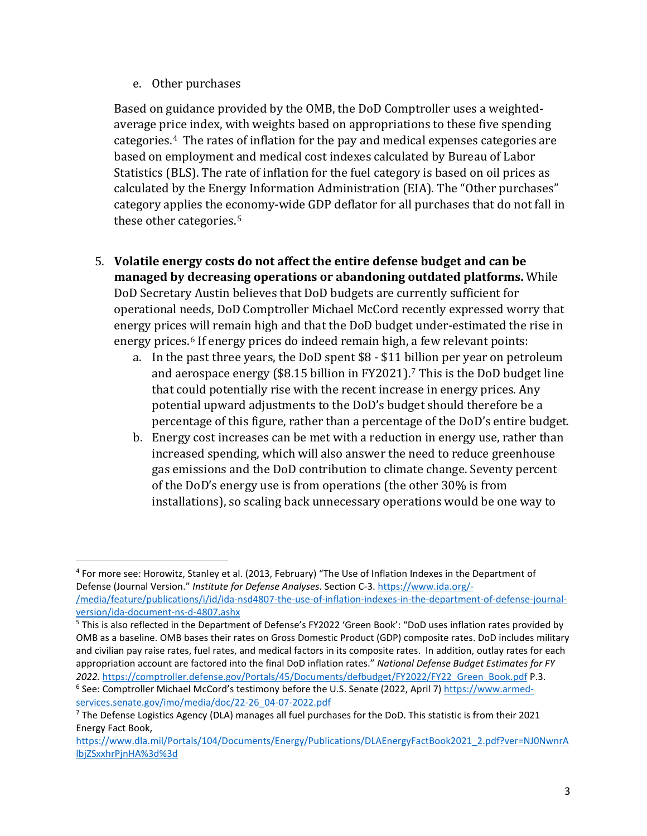e. Other purchases

Based on guidance provided by the OMB, the DoD Comptroller uses a weightedaverage price index, with weights based on appropriations to these five spending categories.4 The rates of inflation for the pay and medical expenses categories are based on employment and medical cost indexes calculated by Bureau of Labor Statistics (BLS). The rate of inflation for the fuel category is based on oil prices as calculated by the Energy Information Administration (EIA). The "Other purchases" category applies the economy-wide GDP deflator for all purchases that do not fall in these other categories.<sup>5</sup>

- 5. **Volatile energy costs do not affect the entire defense budget and can be managed by decreasing operations or abandoning outdated platforms.** While DoD Secretary Austin believes that DoD budgets are currently sufficient for operational needs, DoD Comptroller Michael McCord recently expressed worry that energy prices will remain high and that the DoD budget under-estimated the rise in energy prices.<sup>6</sup> If energy prices do indeed remain high, a few relevant points:
	- a. In the past three years, the DoD spent \$8 \$11 billion per year on petroleum and aerospace energy (\$8.15 billion in FY2021).7 This is the DoD budget line that could potentially rise with the recent increase in energy prices. Any potential upward adjustments to the DoD's budget should therefore be a percentage of this figure, rather than a percentage of the DoD's entire budget.
	- b. Energy cost increases can be met with a reduction in energy use, rather than increased spending, which will also answer the need to reduce greenhouse gas emissions and the DoD contribution to climate change. Seventy percent of the DoD's energy use is from operations (the other 30% is from installations), so scaling back unnecessary operations would be one way to

<sup>4</sup> For more see: Horowitz, Stanley et al. (2013, February) "The Use of Inflation Indexes in the Department of Defense (Journal Version." *Institute for Defense Analyses*. Section C-3. https://www.ida.org/- /media/feature/publications/i/id/ida-nsd4807-the-use-of-inflation-indexes-in-the-department-of-defense-journalversion/ida-document-ns-d-4807.ashx

<sup>5</sup> This is also reflected in the Department of Defense's FY2022 'Green Book': "DoD uses inflation rates provided by OMB as a baseline. OMB bases their rates on Gross Domestic Product (GDP) composite rates. DoD includes military and civilian pay raise rates, fuel rates, and medical factors in its composite rates. In addition, outlay rates for each appropriation account are factored into the final DoD inflation rates." *National Defense Budget Estimates for FY 2022.* https://comptroller.defense.gov/Portals/45/Documents/defbudget/FY2022/FY22\_Green\_Book.pdf P.3.

<sup>6</sup> See: Comptroller Michael McCord's testimony before the U.S. Senate (2022, April 7) https://www.armedservices.senate.gov/imo/media/doc/22-26\_04-07-2022.pdf

<sup>7</sup> The Defense Logistics Agency (DLA) manages all fuel purchases for the DoD. This statistic is from their 2021 Energy Fact Book,

https://www.dla.mil/Portals/104/Documents/Energy/Publications/DLAEnergyFactBook2021\_2.pdf?ver=NJ0NwnrA lbjZSxxhrPjnHA%3d%3d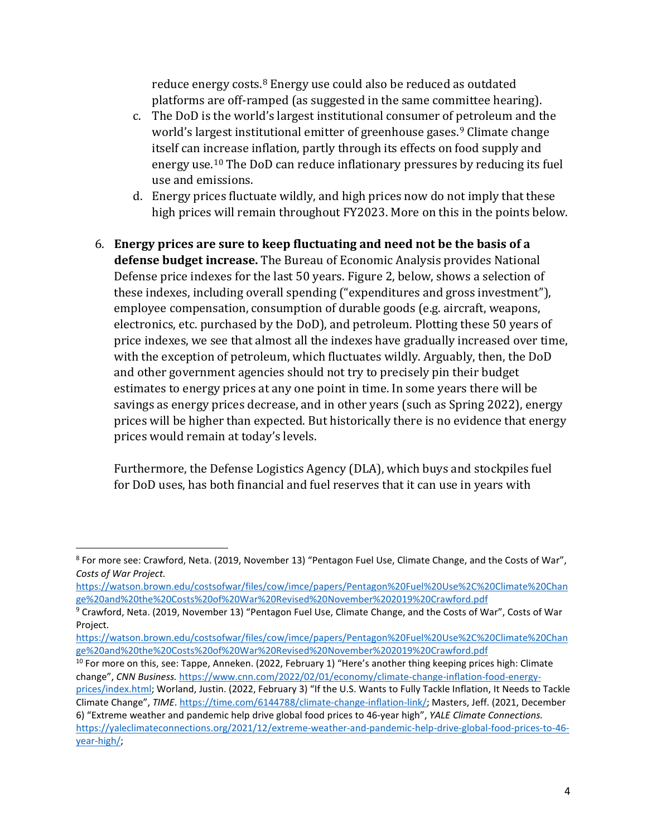reduce energy costs.8 Energy use could also be reduced as outdated platforms are off-ramped (as suggested in the same committee hearing).

- c. The DoD is the world's largest institutional consumer of petroleum and the world's largest institutional emitter of greenhouse gases.<sup>9</sup> Climate change itself can increase inflation, partly through its effects on food supply and energy use.10 The DoD can reduce inflationary pressures by reducing its fuel use and emissions.
- d. Energy prices fluctuate wildly, and high prices now do not imply that these high prices will remain throughout FY2023. More on this in the points below.
- 6. **Energy prices are sure to keep fluctuating and need not be the basis of a defense budget increase.** The Bureau of Economic Analysis provides National Defense price indexes for the last 50 years. Figure 2, below, shows a selection of these indexes, including overall spending ("expenditures and gross investment"), employee compensation, consumption of durable goods (e.g. aircraft, weapons, electronics, etc. purchased by the DoD), and petroleum. Plotting these 50 years of price indexes, we see that almost all the indexes have gradually increased over time, with the exception of petroleum, which fluctuates wildly. Arguably, then, the DoD and other government agencies should not try to precisely pin their budget estimates to energy prices at any one point in time. In some years there will be savings as energy prices decrease, and in other years (such as Spring 2022), energy prices will be higher than expected. But historically there is no evidence that energy prices would remain at today's levels.

Furthermore, the Defense Logistics Agency (DLA), which buys and stockpiles fuel for DoD uses, has both financial and fuel reserves that it can use in years with

https://watson.brown.edu/costsofwar/files/cow/imce/papers/Pentagon%20Fuel%20Use%2C%20Climate%20Chan

<sup>8</sup> For more see: Crawford, Neta. (2019, November 13) "Pentagon Fuel Use, Climate Change, and the Costs of War", *Costs of War Project.*

<sup>&</sup>lt;sup>9</sup> Crawford, Neta. (2019, November 13) "Pentagon Fuel Use, Climate Change, and the Costs of War", Costs of War Project.

https://watson.brown.edu/costsofwar/files/cow/imce/papers/Pentagon%20Fuel%20Use%2C%20Climate%20Chan

<sup>&</sup>lt;sup>10</sup> For more on this, see: Tappe, Anneken. (2022, February 1) "Here's another thing keeping prices high: Climate change", *CNN Business.* https://www.cnn.com/2022/02/01/economy/climate-change-inflation-food-energyprices/index.html; Worland, Justin. (2022, February 3) "If the U.S. Wants to Fully Tackle Inflation, It Needs to Tackle Climate Change", *TIME*. https://time.com/6144788/climate-change-inflation-link/; Masters, Jeff. (2021, December 6) "Extreme weather and pandemic help drive global food prices to 46-year high", *YALE Climate Connections.*  https://yaleclimateconnections.org/2021/12/extreme-weather-and-pandemic-help-drive-global-food-prices-to-46 year-high/;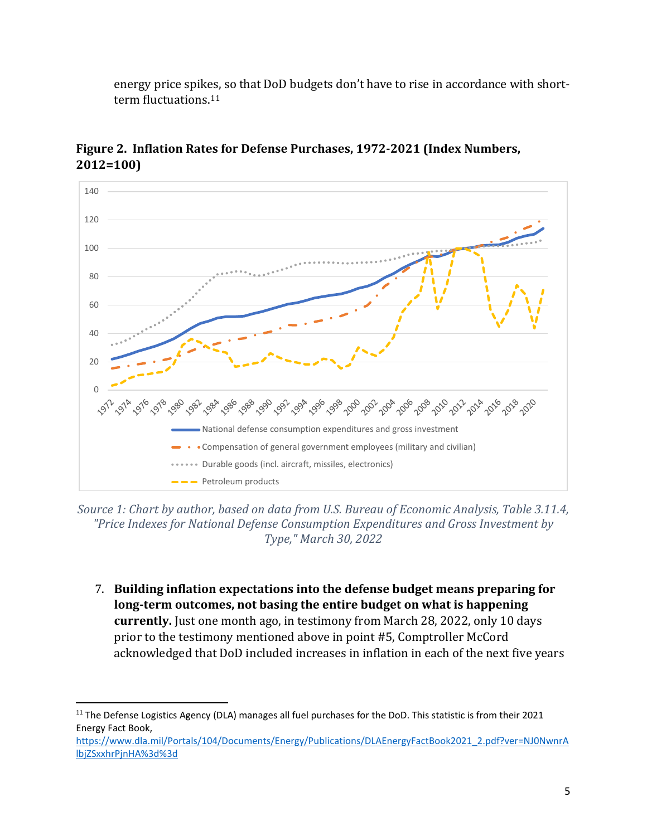energy price spikes, so that DoD budgets don't have to rise in accordance with shortterm fluctuations.<sup>11</sup>



**Figure 2. Inflation Rates for Defense Purchases, 1972-2021 (Index Numbers, 2012=100)**

*Source 1: Chart by author, based on data from U.S. Bureau of Economic Analysis, Table 3.11.4, "Price Indexes for National Defense Consumption Expenditures and Gross Investment by Type," March 30, 2022*

7. **Building inflation expectations into the defense budget means preparing for long-term outcomes, not basing the entire budget on what is happening currently.** Just one month ago, in testimony from March 28, 2022, only 10 days prior to the testimony mentioned above in point #5, Comptroller McCord acknowledged that DoD included increases in inflation in each of the next five years

<sup>&</sup>lt;sup>11</sup> The Defense Logistics Agency (DLA) manages all fuel purchases for the DoD. This statistic is from their 2021 Energy Fact Book,

https://www.dla.mil/Portals/104/Documents/Energy/Publications/DLAEnergyFactBook2021\_2.pdf?ver=NJ0NwnrA lbjZSxxhrPjnHA%3d%3d